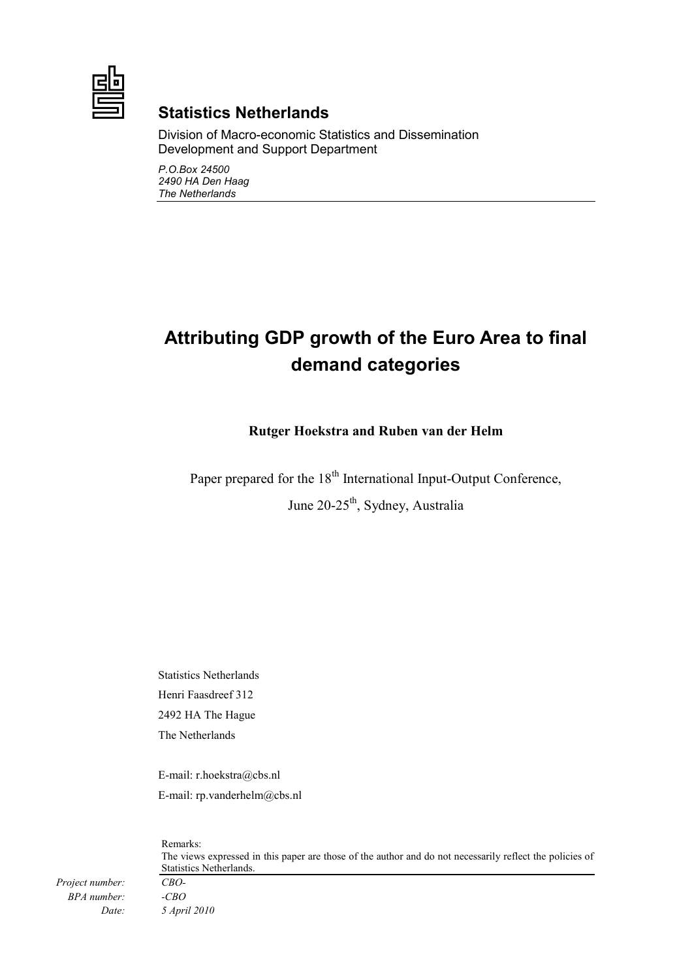

## **Statistics Netherlands**

Division of Macro-economic Statistics and Dissemination Development and Support Department

*P.O.Box 24500 2490 HA Den Haag The Netherlands* 

# **Attributing GDP growth of the Euro Area to final demand categories**

### **Rutger Hoekstra and Ruben van der Helm**

Paper prepared for the 18<sup>th</sup> International Input-Output Conference, June 20-25<sup>th</sup>, Sydney, Australia

Statistics Netherlands Henri Faasdreef 312 2492 HA The Hague The Netherlands

E-mail: r.hoekstra@cbs.nl E-mail: rp.vanderhelm@cbs.nl

Remarks: The views expressed in this paper are those of the author and do not necessarily reflect the policies of Statistics Netherlands.

*Project number: CBO-BPA number: -CBO* 

*Date: 5 April 2010*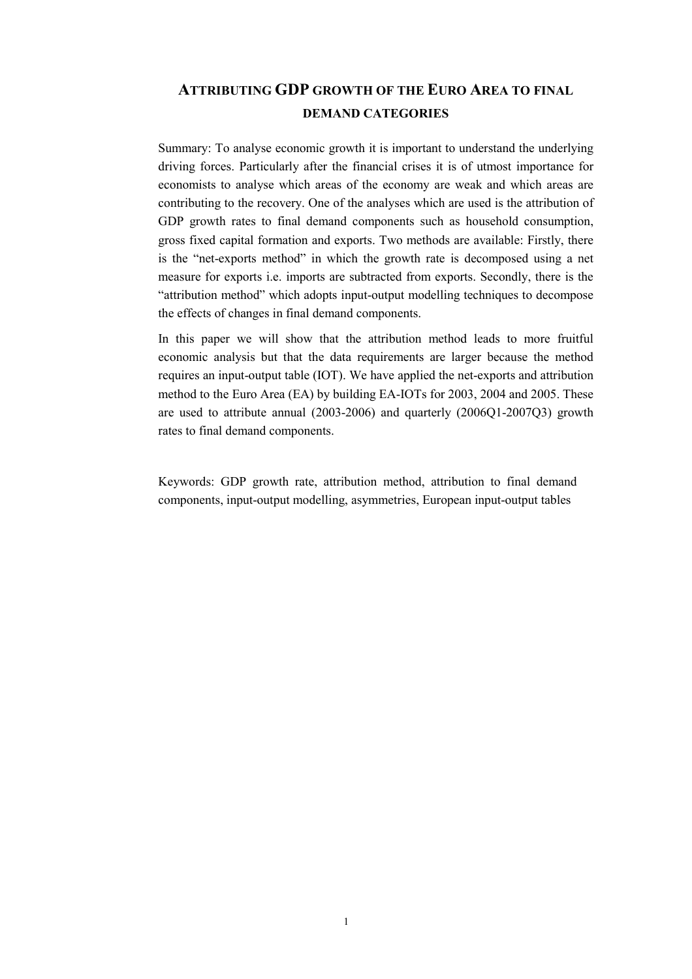## **ATTRIBUTING GDP GROWTH OF THE EURO AREA TO FINAL DEMAND CATEGORIES**

Summary: To analyse economic growth it is important to understand the underlying driving forces. Particularly after the financial crises it is of utmost importance for economists to analyse which areas of the economy are weak and which areas are contributing to the recovery. One of the analyses which are used is the attribution of GDP growth rates to final demand components such as household consumption, gross fixed capital formation and exports. Two methods are available: Firstly, there is the "net-exports method" in which the growth rate is decomposed using a net measure for exports i.e. imports are subtracted from exports. Secondly, there is the "attribution method" which adopts input-output modelling techniques to decompose the effects of changes in final demand components.

In this paper we will show that the attribution method leads to more fruitful economic analysis but that the data requirements are larger because the method requires an input-output table (IOT). We have applied the net-exports and attribution method to the Euro Area (EA) by building EA-IOTs for 2003, 2004 and 2005. These are used to attribute annual (2003-2006) and quarterly (2006Q1-2007Q3) growth rates to final demand components.

Keywords: GDP growth rate, attribution method, attribution to final demand components, input-output modelling, asymmetries, European input-output tables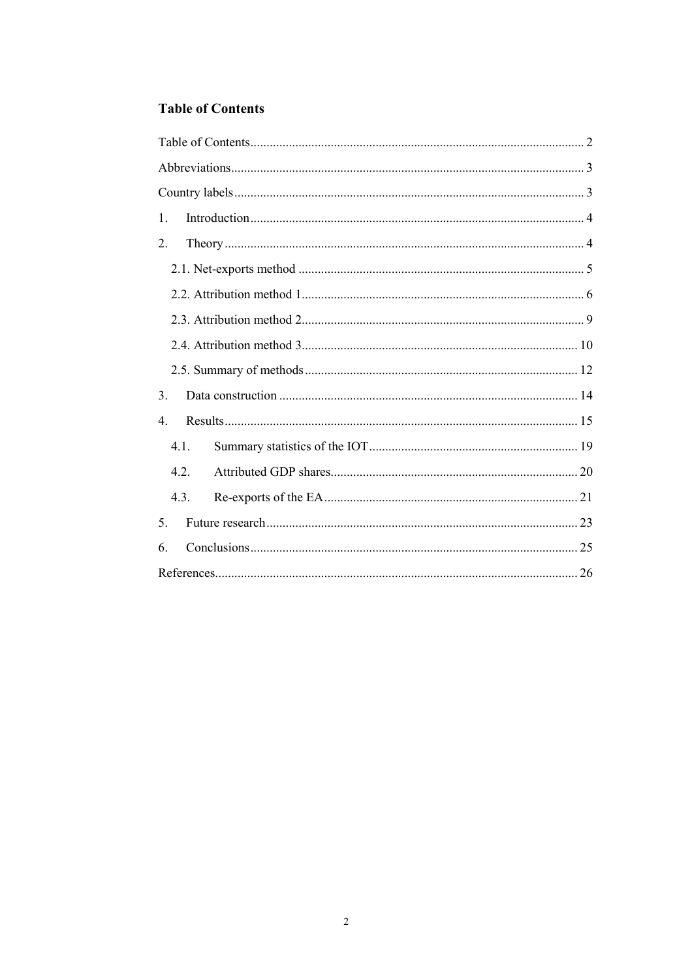## **Table of Contents**

| $\mathbf{1}$     |  |
|------------------|--|
| 2.               |  |
|                  |  |
|                  |  |
|                  |  |
|                  |  |
|                  |  |
| 3 <sub>1</sub>   |  |
| $\overline{4}$ . |  |
| 4.1.             |  |
| 4.2.             |  |
| 4.3.             |  |
| 5.               |  |
| 6                |  |
|                  |  |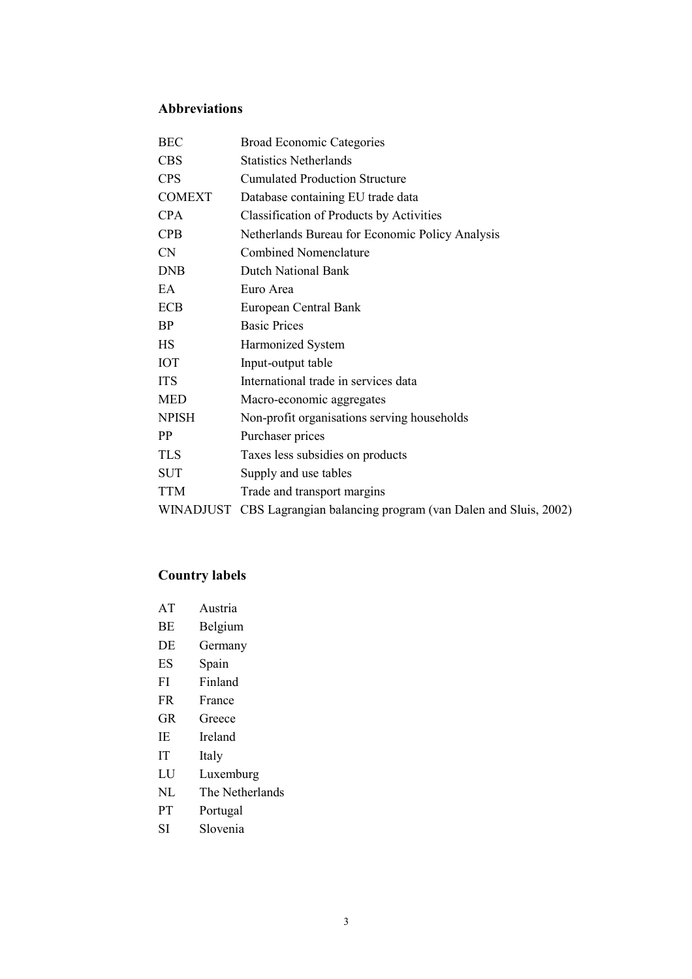## **Abbreviations**

| <b>BEC</b>    | <b>Broad Economic Categories</b>                                       |
|---------------|------------------------------------------------------------------------|
| <b>CBS</b>    | <b>Statistics Netherlands</b>                                          |
| <b>CPS</b>    | <b>Cumulated Production Structure</b>                                  |
| <b>COMEXT</b> | Database containing EU trade data                                      |
| <b>CPA</b>    | <b>Classification of Products by Activities</b>                        |
| <b>CPB</b>    | Netherlands Bureau for Economic Policy Analysis                        |
| <b>CN</b>     | <b>Combined Nomenclature</b>                                           |
| <b>DNB</b>    | Dutch National Bank                                                    |
| EA.           | Euro Area                                                              |
| ECB           | European Central Bank                                                  |
| <b>BP</b>     | <b>Basic Prices</b>                                                    |
| HS            | Harmonized System                                                      |
| <b>IOT</b>    | Input-output table                                                     |
| <b>ITS</b>    | International trade in services data                                   |
| <b>MED</b>    | Macro-economic aggregates                                              |
| <b>NPISH</b>  | Non-profit organisations serving households                            |
| <b>PP</b>     | Purchaser prices                                                       |
| <b>TLS</b>    | Taxes less subsidies on products                                       |
| <b>SUT</b>    | Supply and use tables                                                  |
| <b>TTM</b>    | Trade and transport margins                                            |
|               | WINADJUST CBS Lagrangian balancing program (van Dalen and Sluis, 2002) |
|               |                                                                        |

## **Country labels**

| AT        | Austria |
|-----------|---------|
| BE        | Belgium |
| DE        | Germany |
| ES        | Spain   |
| FI        | Finland |
| <b>FR</b> | France  |
| GR        | Greece  |
| ΙE        | Ireland |
| IТ        | Italy   |
|           |         |

- LU Luxemburg
- NL The Netherlands
- PT Portugal
- SI Slovenia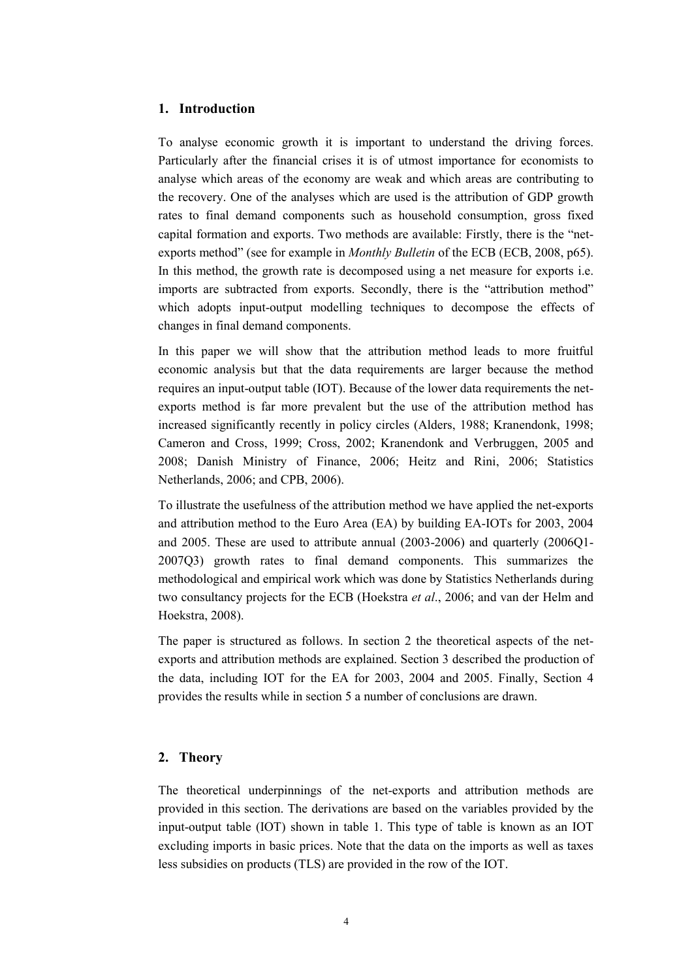#### **1. Introduction**

To analyse economic growth it is important to understand the driving forces. Particularly after the financial crises it is of utmost importance for economists to analyse which areas of the economy are weak and which areas are contributing to the recovery. One of the analyses which are used is the attribution of GDP growth rates to final demand components such as household consumption, gross fixed capital formation and exports. Two methods are available: Firstly, there is the "netexports method" (see for example in *Monthly Bulletin* of the ECB (ECB, 2008, p65). In this method, the growth rate is decomposed using a net measure for exports i.e. imports are subtracted from exports. Secondly, there is the "attribution method" which adopts input-output modelling techniques to decompose the effects of changes in final demand components.

In this paper we will show that the attribution method leads to more fruitful economic analysis but that the data requirements are larger because the method requires an input-output table (IOT). Because of the lower data requirements the netexports method is far more prevalent but the use of the attribution method has increased significantly recently in policy circles (Alders, 1988; Kranendonk, 1998; Cameron and Cross, 1999; Cross, 2002; Kranendonk and Verbruggen, 2005 and 2008; Danish Ministry of Finance, 2006; Heitz and Rini, 2006; Statistics Netherlands, 2006; and CPB, 2006).

To illustrate the usefulness of the attribution method we have applied the net-exports and attribution method to the Euro Area (EA) by building EA-IOTs for 2003, 2004 and 2005. These are used to attribute annual (2003-2006) and quarterly (2006Q1- 2007Q3) growth rates to final demand components. This summarizes the methodological and empirical work which was done by Statistics Netherlands during two consultancy projects for the ECB (Hoekstra *et al*., 2006; and van der Helm and Hoekstra, 2008).

The paper is structured as follows. In section 2 the theoretical aspects of the netexports and attribution methods are explained. Section 3 described the production of the data, including IOT for the EA for 2003, 2004 and 2005. Finally, Section 4 provides the results while in section 5 a number of conclusions are drawn.

#### **2. Theory**

The theoretical underpinnings of the net-exports and attribution methods are provided in this section. The derivations are based on the variables provided by the input-output table (IOT) shown in table 1. This type of table is known as an IOT excluding imports in basic prices. Note that the data on the imports as well as taxes less subsidies on products (TLS) are provided in the row of the IOT.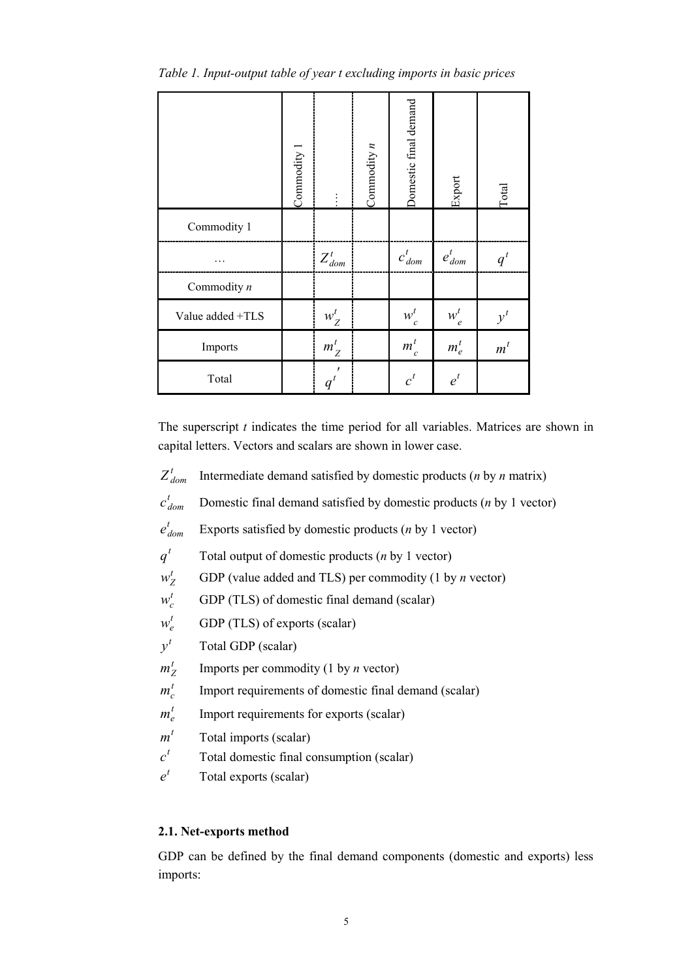|                  | Commodity 1 |             | Commodity $n$ | Domestic final demand | Export             | Total |
|------------------|-------------|-------------|---------------|-----------------------|--------------------|-------|
| Commodity 1      |             |             |               |                       |                    |       |
|                  |             | $Z_{dom}^t$ |               | $c_{dom}^t$           | $e_{\emph{dom}}^t$ | $q^t$ |
| Commodity $n$    |             |             |               |                       |                    |       |
| Value added +TLS |             | $w_Z^t$     |               | $w_c^t$               | $w_e^t$            | $y^t$ |
| Imports          |             | $m_Z^t$     |               | $m_c^t$               | $m_e^t$            | $m^t$ |
| Total            |             | $q^t$       |               | $c^t$                 | $e^{t}$            |       |

*Table 1. Input-output table of year t excluding imports in basic prices* 

The superscript *t* indicates the time period for all variables. Matrices are shown in capital letters. Vectors and scalars are shown in lower case.

- $Z_{dom}^t$  Intermediate demand satisfied by domestic products (*n* by *n* matrix)
- $c_{dom}^t$ *Domestic final demand satisfied by domestic products (<i>n* by 1 vector)
- $e_{dom}^t$ Exports satisfied by domestic products (*n* by 1 vector)

 $q<sup>t</sup>$  Total output of domestic products (*n* by 1 vector)

 $w_Z^t$  GDP (value added and TLS) per commodity (1 by *n* vector)

 $w_c^t$  GDP (TLS) of domestic final demand (scalar)

- $w_e^t$  GDP (TLS) of exports (scalar)
- $v^t$  Total GDP (scalar)
- $m_7^t$  Imports per commodity (1 by *n* vector)
- $m_c^t$  Import requirements of domestic final demand (scalar)
- $m_e^t$  Import requirements for exports (scalar)
- $m<sup>t</sup>$  Total imports (scalar)
- $c<sup>t</sup>$  Total domestic final consumption (scalar)
- $e^{t}$  Total exports (scalar)

#### **2.1. Net-exports method**

GDP can be defined by the final demand components (domestic and exports) less imports: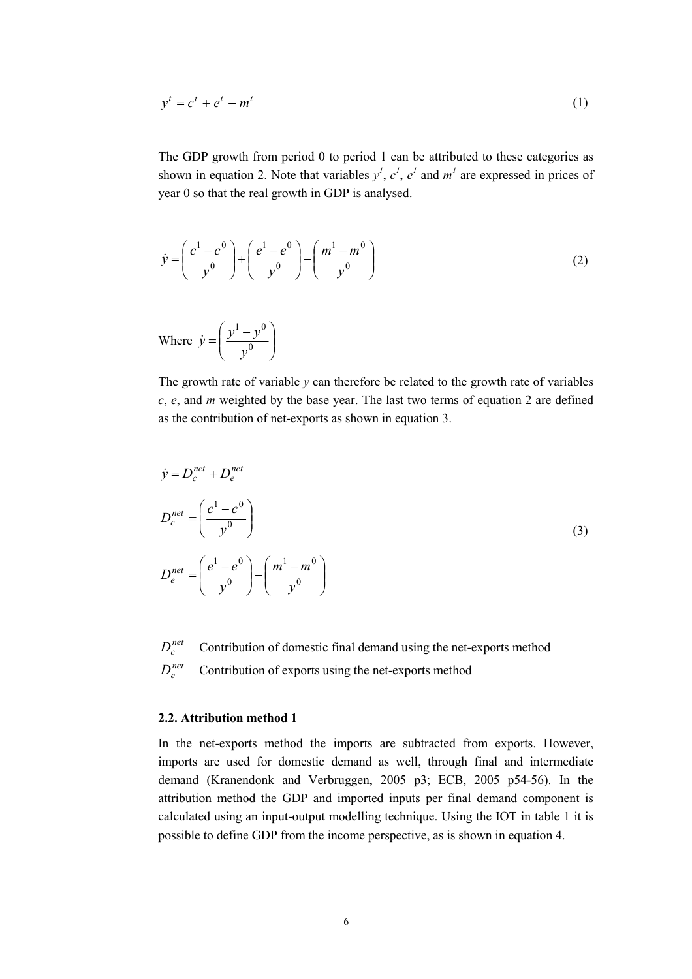$$
y^t = c^t + e^t - m^t \tag{1}
$$

The GDP growth from period 0 to period 1 can be attributed to these categories as shown in equation 2. Note that variables  $y^1$ ,  $c^1$ ,  $e^1$  and  $m^1$  are expressed in prices of year 0 so that the real growth in GDP is analysed.

$$
\dot{y} = \left(\frac{c^1 - c^0}{y^0}\right) + \left(\frac{e^1 - e^0}{y^0}\right) - \left(\frac{m^1 - m^0}{y^0}\right)
$$
\n(2)

Where  $\dot{y} = \left| \frac{y - y}{v^0} \right|$  $\bigg)$  $\backslash$  $\overline{\phantom{a}}$  $\setminus$  $=\frac{y^{1}-y^{0}}{1+y^{0}}$  $1, 0$ *y*  $\dot{y} = \left(\frac{y^1 - y}{0}\right)$ 

The growth rate of variable  $\gamma$  can therefore be related to the growth rate of variables *c*, *e*, and *m* weighted by the base year. The last two terms of equation 2 are defined as the contribution of net-exports as shown in equation 3.

$$
\dot{y} = D_c^{net} + D_e^{net}
$$
\n
$$
D_c^{net} = \left(\frac{c^1 - c^0}{y^0}\right)
$$
\n
$$
D_e^{net} = \left(\frac{e^1 - e^0}{y^0}\right) - \left(\frac{m^1 - m^0}{y^0}\right)
$$
\n(3)

 $D_c^{net}$  Contribution of domestic final demand using the net-exports method  $D_e^{net}$  Contribution of exports using the net-exports method

#### **2.2. Attribution method 1**

In the net-exports method the imports are subtracted from exports. However, imports are used for domestic demand as well, through final and intermediate demand (Kranendonk and Verbruggen, 2005 p3; ECB, 2005 p54-56). In the attribution method the GDP and imported inputs per final demand component is calculated using an input-output modelling technique. Using the IOT in table 1 it is possible to define GDP from the income perspective, as is shown in equation 4.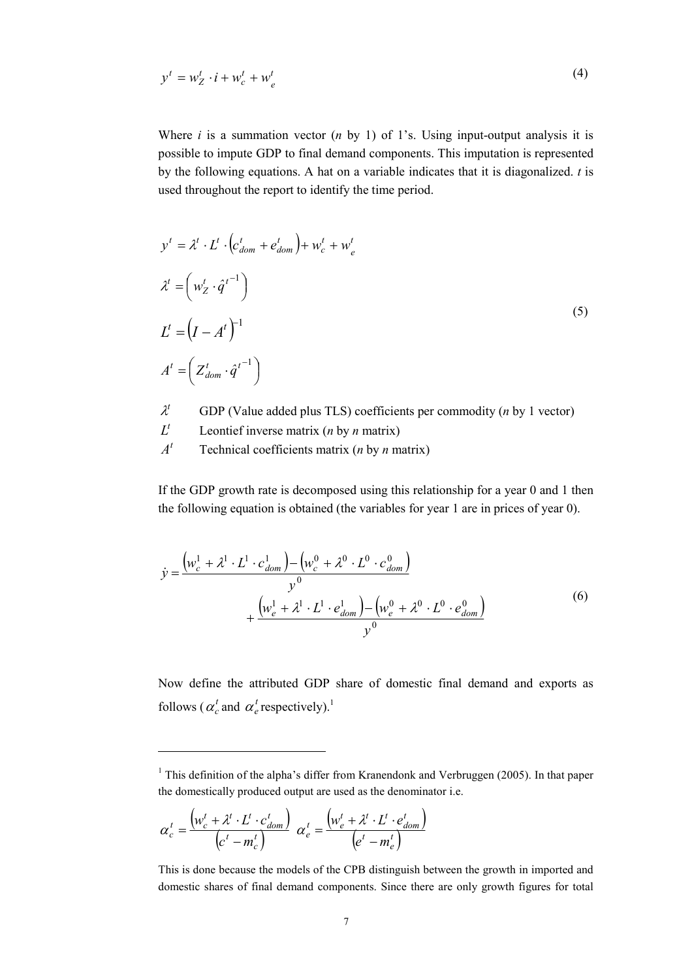$$
y^t = w_Z^t \cdot i + w_c^t + w_e^t \tag{4}
$$

Where  $i$  is a summation vector  $(n \text{ by } 1)$  of 1's. Using input-output analysis it is possible to impute GDP to final demand components. This imputation is represented by the following equations. A hat on a variable indicates that it is diagonalized. *t* is used throughout the report to identify the time period.

$$
y^{t} = \lambda^{t} \cdot L^{t} \cdot \left( c_{dom}^{t} + e_{dom}^{t} \right) + w_{c}^{t} + w_{e}^{t}
$$
  
\n
$$
\lambda^{t} = \left( w_{Z}^{t} \cdot \hat{q}^{t-1} \right)
$$
  
\n
$$
L^{t} = \left( I - A^{t} \right)^{-1}
$$
  
\n
$$
A^{t} = \left( Z_{dom}^{t} \cdot \hat{q}^{t-1} \right)
$$
\n(5)

- $\lambda^t$  GDP (Value added plus TLS) coefficients per commodity (*n* by 1 vector)
- $L^t$  Leontief inverse matrix (*n* by *n* matrix)
- $A<sup>t</sup>$  Technical coefficients matrix (*n* by *n* matrix)

If the GDP growth rate is decomposed using this relationship for a year 0 and 1 then the following equation is obtained (the variables for year 1 are in prices of year 0).

$$
\dot{y} = \frac{\left(w_c^1 + \lambda^1 \cdot L^1 \cdot c_{dom}^1\right) - \left(w_c^0 + \lambda^0 \cdot L^0 \cdot c_{dom}^0\right)}{y^0} + \frac{\left(w_e^1 + \lambda^1 \cdot L^1 \cdot e_{dom}^1\right) - \left(w_e^0 + \lambda^0 \cdot L^0 \cdot e_{dom}^0\right)}{y^0}
$$
\n(6)

Now define the attributed GDP share of domestic final demand and exports as follows ( $\alpha_c^t$  and  $\alpha_e^t$  respectively).<sup>1</sup>

$$
\alpha_c^t = \frac{\left(w_c^t + \lambda^t \cdot L^t \cdot c_{dom}^t\right)}{\left(c^t - m_c^t\right)} \ \alpha_e^t = \frac{\left(w_e^t + \lambda^t \cdot L^t \cdot e_{dom}^t\right)}{\left(e^t - m_e^t\right)}
$$

<sup>&</sup>lt;sup>1</sup> This definition of the alpha's differ from Kranendonk and Verbruggen (2005). In that paper the domestically produced output are used as the denominator i.e.

This is done because the models of the CPB distinguish between the growth in imported and domestic shares of final demand components. Since there are only growth figures for total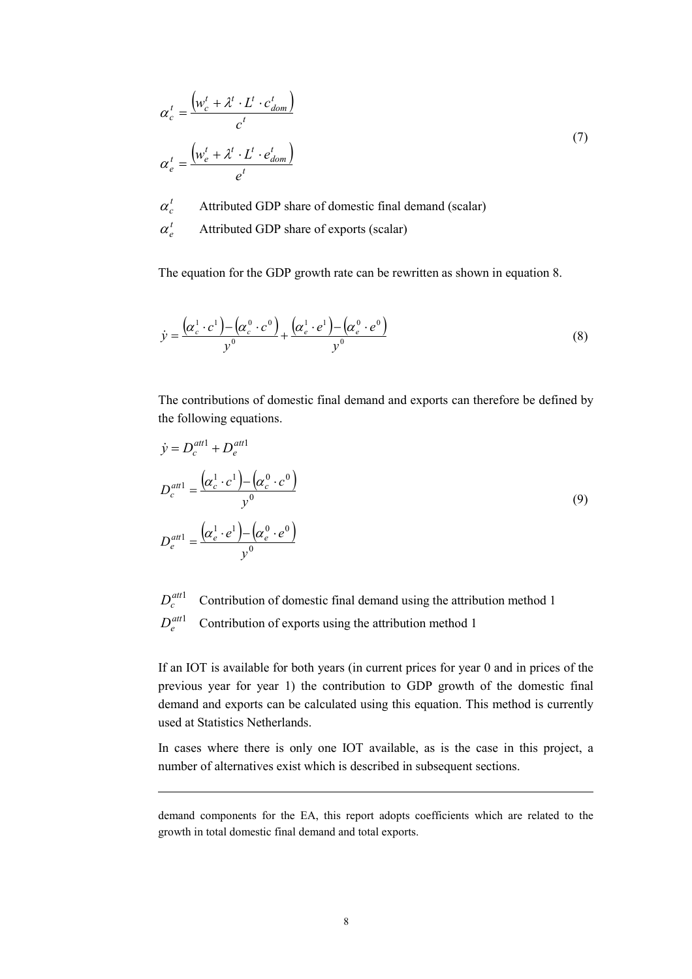$$
\alpha_c^t = \frac{\left(w_c^t + \lambda^t \cdot L^t \cdot c_{dom}^t\right)}{c^t}
$$
\n
$$
\alpha_e^t = \frac{\left(w_e^t + \lambda^t \cdot L^t \cdot e_{dom}^t\right)}{e^t}
$$
\n(7)

 $\alpha_c^t$  Attributed GDP share of domestic final demand (scalar)

 $\alpha_{e}^{t}$  Attributed GDP share of exports (scalar)

The equation for the GDP growth rate can be rewritten as shown in equation 8.

$$
\dot{y} = \frac{\left(\alpha_c^1 \cdot c^1\right) - \left(\alpha_c^0 \cdot c^0\right)}{y^0} + \frac{\left(\alpha_e^1 \cdot e^1\right) - \left(\alpha_e^0 \cdot e^0\right)}{y^0}
$$
\n(8)

The contributions of domestic final demand and exports can therefore be defined by the following equations.

$$
\dot{y} = D_c^{att1} + D_e^{att1}
$$
\n
$$
D_c^{att1} = \frac{(\alpha_c^1 \cdot c^1) - (\alpha_c^0 \cdot c^0)}{y^0}
$$
\n
$$
D_e^{att1} = \frac{(\alpha_e^1 \cdot e^1) - (\alpha_e^0 \cdot e^0)}{y^0}
$$
\n(9)

 $D_c^{att1}$  Contribution of domestic final demand using the attribution method 1  $D_e^{att1}$  Contribution of exports using the attribution method 1

If an IOT is available for both years (in current prices for year 0 and in prices of the previous year for year 1) the contribution to GDP growth of the domestic final demand and exports can be calculated using this equation. This method is currently used at Statistics Netherlands.

In cases where there is only one IOT available, as is the case in this project, a number of alternatives exist which is described in subsequent sections.

demand components for the EA, this report adopts coefficients which are related to the growth in total domestic final demand and total exports.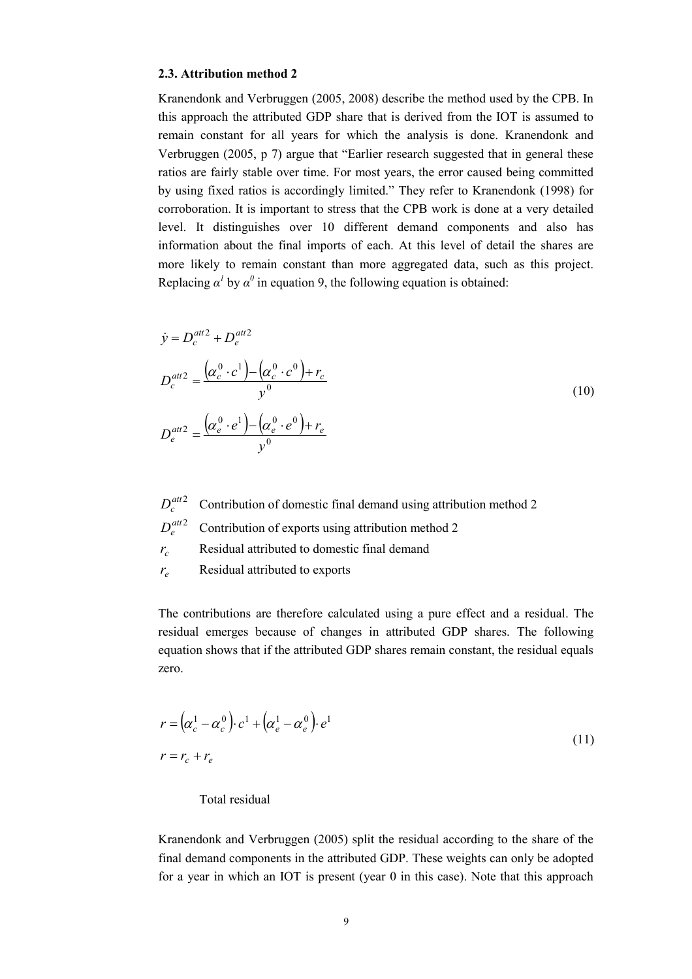#### **2.3. Attribution method 2**

Kranendonk and Verbruggen (2005, 2008) describe the method used by the CPB. In this approach the attributed GDP share that is derived from the IOT is assumed to remain constant for all years for which the analysis is done. Kranendonk and Verbruggen (2005, p 7) argue that "Earlier research suggested that in general these ratios are fairly stable over time. For most years, the error caused being committed by using fixed ratios is accordingly limited." They refer to Kranendonk (1998) for corroboration. It is important to stress that the CPB work is done at a very detailed level. It distinguishes over 10 different demand components and also has information about the final imports of each. At this level of detail the shares are more likely to remain constant than more aggregated data, such as this project. Replacing  $\alpha^I$  by  $\alpha^0$  in equation 9, the following equation is obtained:

$$
\dot{y} = D_c^{att2} + D_e^{att2}
$$
\n
$$
D_c^{att2} = \frac{\left(\alpha_c^0 \cdot c^1\right) - \left(\alpha_c^0 \cdot c^0\right) + r_c}{y^0}
$$
\n
$$
D_e^{att2} = \frac{\left(\alpha_e^0 \cdot e^1\right) - \left(\alpha_e^0 \cdot e^0\right) + r_e}{y^0}
$$
\n(10)

 $D_c^{att2}$  Contribution of domestic final demand using attribution method 2

- $D_e^{att2}$  Contribution of exports using attribution method 2
- $r_c$  Residual attributed to domestic final demand
- $r_e$  Residual attributed to exports

The contributions are therefore calculated using a pure effect and a residual. The residual emerges because of changes in attributed GDP shares. The following equation shows that if the attributed GDP shares remain constant, the residual equals zero.

$$
r = (\alpha_c^1 - \alpha_c^0) \cdot c^1 + (\alpha_e^1 - \alpha_e^0) \cdot e^1
$$
  
\n
$$
r = r_c + r_e
$$
 (11)

#### Total residual

Kranendonk and Verbruggen (2005) split the residual according to the share of the final demand components in the attributed GDP. These weights can only be adopted for a year in which an IOT is present (year 0 in this case). Note that this approach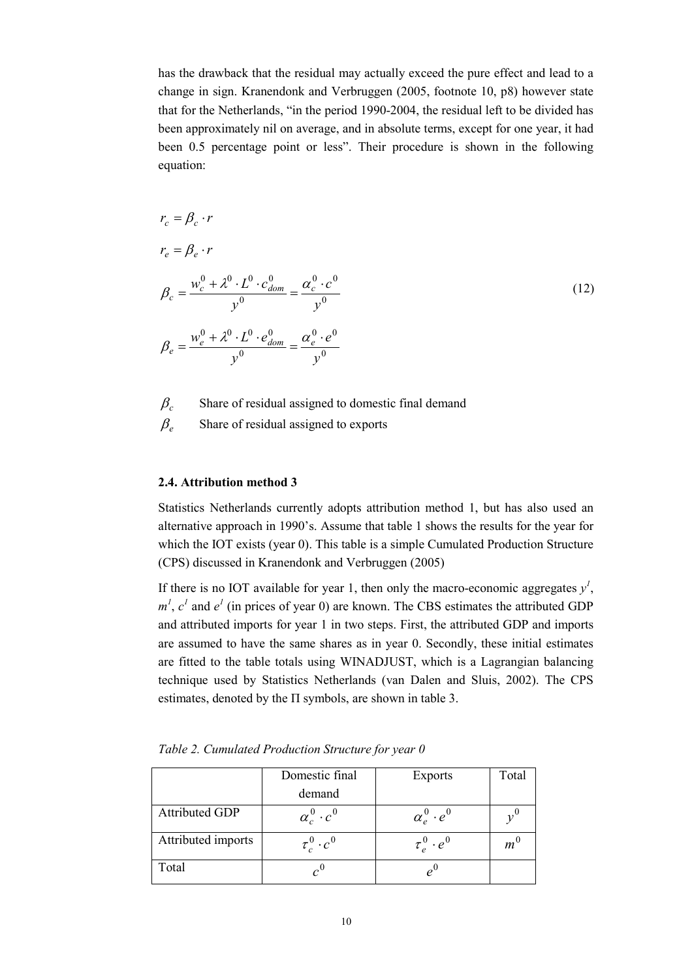has the drawback that the residual may actually exceed the pure effect and lead to a change in sign. Kranendonk and Verbruggen (2005, footnote 10, p8) however state that for the Netherlands, "in the period 1990-2004, the residual left to be divided has been approximately nil on average, and in absolute terms, except for one year, it had been 0.5 percentage point or less". Their procedure is shown in the following equation:

$$
r_c = \beta_c \cdot r
$$
  
\n
$$
r_e = \beta_e \cdot r
$$
  
\n
$$
\beta_c = \frac{w_c^0 + \lambda^0 \cdot L^0 \cdot c_{dom}^0}{y^0} = \frac{\alpha_c^0 \cdot c^0}{y^0}
$$
  
\n
$$
\beta_e = \frac{w_e^0 + \lambda^0 \cdot L^0 \cdot e_{dom}^0}{y^0} = \frac{\alpha_e^0 \cdot e^0}{y^0}
$$
  
\n(12)

- $\beta_c$  Share of residual assigned to domestic final demand
- $\beta_e$  Share of residual assigned to exports

#### **2.4. Attribution method 3**

Statistics Netherlands currently adopts attribution method 1, but has also used an alternative approach in 1990's. Assume that table 1 shows the results for the year for which the IOT exists (year 0). This table is a simple Cumulated Production Structure (CPS) discussed in Kranendonk and Verbruggen (2005)

If there is no IOT available for year 1, then only the macro-economic aggregates  $y<sup>1</sup>$ ,  $m<sup>1</sup>$ ,  $c<sup>1</sup>$  and  $e<sup>1</sup>$  (in prices of year 0) are known. The CBS estimates the attributed GDP and attributed imports for year 1 in two steps. First, the attributed GDP and imports are assumed to have the same shares as in year 0. Secondly, these initial estimates are fitted to the table totals using WINADJUST, which is a Lagrangian balancing technique used by Statistics Netherlands (van Dalen and Sluis, 2002). The CPS estimates, denoted by the  $\Pi$  symbols, are shown in table 3.

|                       | Domestic final         | <b>Exports</b>         | Total   |
|-----------------------|------------------------|------------------------|---------|
|                       | demand                 |                        |         |
| <b>Attributed GDP</b> | $\alpha_c^0 \cdot c^0$ | $\alpha_e^0 \cdot e^0$ |         |
| Attributed imports    | $\tau_c^0 \cdot c^0$   | $\tau_e^0 \cdot e^0$   | $m^{'}$ |
| Total                 |                        |                        |         |

*Table 2. Cumulated Production Structure for year 0*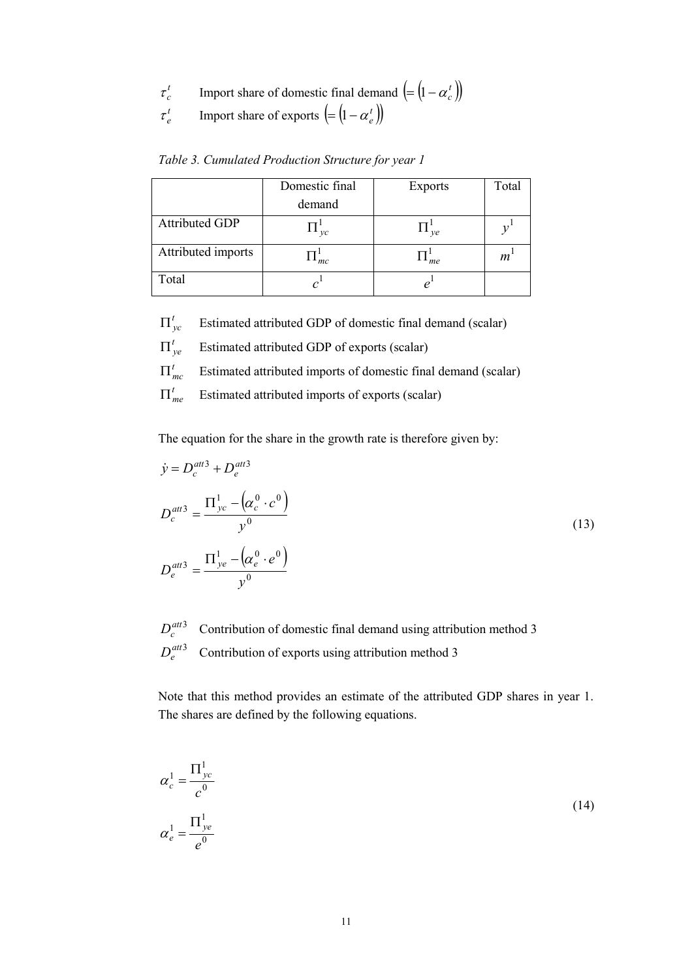- $\tau_c^t$  $\tau_c^t$  Import share of domestic final demand  $(=(1-\alpha_c^t))$
- $\tau^t_e$  $\tau_e^t$  Import share of exports  $\left( = \left( 1 - \alpha_e^t \right) \right)$

| Table 3. Cumulated Production Structure for year 1 |  |  |
|----------------------------------------------------|--|--|
|                                                    |  |  |

|                       | Domestic final           | <b>Exports</b> | Total |
|-----------------------|--------------------------|----------------|-------|
|                       | demand                   |                |       |
| <b>Attributed GDP</b> | $\mathcal{V}\mathcal{C}$ | ve             |       |
| Attributed imports    | mc                       | me             | m     |
| Total                 |                          |                |       |

- $\Pi_{\nu c}^{t}$  Estimated attributed GDP of domestic final demand (scalar)
- $\Pi'_{ve}$  Estimated attributed GDP of exports (scalar)
- $\prod_{mc}^{t}$  Estimated attributed imports of domestic final demand (scalar)
- $\Pi_{me}^{t}$  Estimated attributed imports of exports (scalar)

The equation for the share in the growth rate is therefore given by:

$$
\dot{y} = D_c^{att3} + D_e^{att3}
$$
\n
$$
D_c^{att3} = \frac{\Pi_{yc}^1 - (\alpha_c^0 \cdot c^0)}{y^0}
$$
\n
$$
D_e^{att3} = \frac{\Pi_{ye}^1 - (\alpha_c^0 \cdot e^0)}{y^0}
$$
\n(13)

 $D_c^{att3}$  Contribution of domestic final demand using attribution method 3  $D_e^{att3}$  Contribution of exports using attribution method 3

Note that this method provides an estimate of the attributed GDP shares in year 1. The shares are defined by the following equations.

$$
\alpha_c^1 = \frac{\Pi_{yc}^1}{c^0}
$$
  

$$
\alpha_e^1 = \frac{\Pi_{yc}^1}{e^0}
$$
 (14)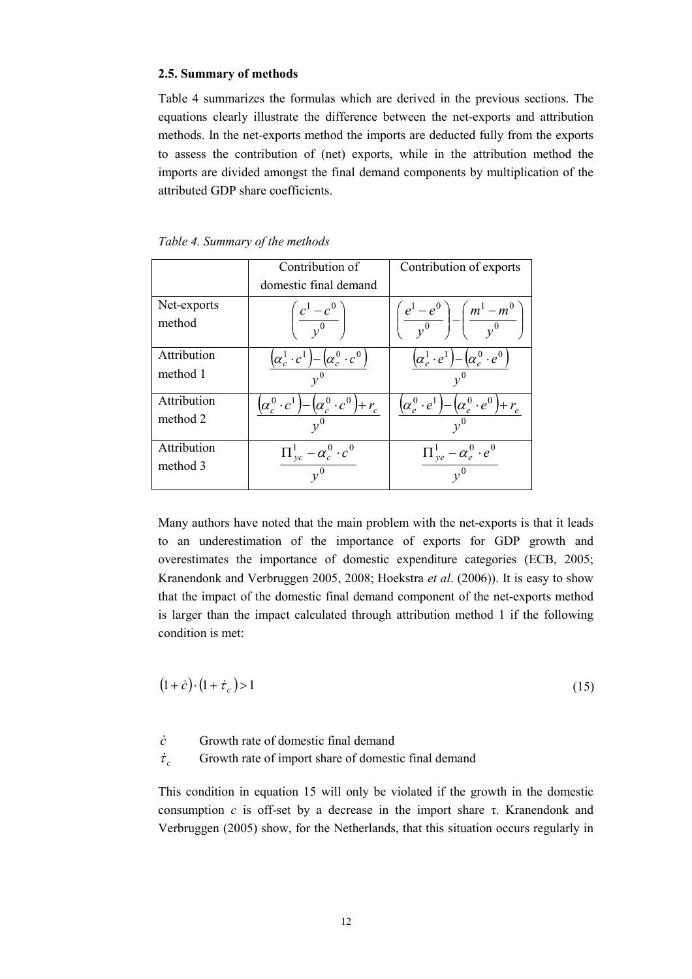#### **2.5. Summary of methods**

Table 4 summarizes the formulas which are derived in the previous sections. The equations clearly illustrate the difference between the net-exports and attribution methods. In the net-exports method the imports are deducted fully from the exports to assess the contribution of (net) exports, while in the attribution method the imports are divided amongst the final demand components by multiplication of the attributed GDP share coefficients.

|             | Contribution of                                                         | Contribution of exports                                             |
|-------------|-------------------------------------------------------------------------|---------------------------------------------------------------------|
|             | domestic final demand                                                   |                                                                     |
| Net-exports |                                                                         |                                                                     |
| method      | $\left(\frac{c^1-c^0}{v^0}\right)$                                      | $\left(\frac{e^1-e^0}{v^0}\right)-\left(\frac{m^1-m^0}{v^0}\right)$ |
| Attribution | $\left[\alpha_c^0\cdot c^0\right]$<br>$\left(\alpha_c^1 \cdot c\right)$ | $\left\{\alpha^0_e \cdot e^0\right\}$<br>$(\alpha_e^1 \cdot e)$     |
| method 1    | $v^0$                                                                   |                                                                     |
| Attribution | $(\alpha_c^0 \cdot c^1) - (\alpha_c^0 \cdot c^0) + r_c$                 | $(\alpha_e^0 \cdot e^1) - (\alpha_e^0 \cdot e^0) + r_e$             |
| method 2    |                                                                         |                                                                     |
| Attribution | $\prod_{yc}^{1} - \alpha_c^0 \cdot c^0$                                 | $\prod_{y e}^{1} - \alpha_e^0 \cdot e^0$                            |
| method 3    | $v^0$                                                                   | $v^0$                                                               |

Many authors have noted that the main problem with the net-exports is that it leads to an underestimation of the importance of exports for GDP growth and overestimates the importance of domestic expenditure categories (ECB, 2005; Kranendonk and Verbruggen 2005, 2008; Hoekstra *et al*. (2006)). It is easy to show that the impact of the domestic final demand component of the net-exports method is larger than the impact calculated through attribution method 1 if the following condition is met:

$$
(1+\dot{c}) \cdot (1+\dot{r}_c) > 1 \tag{15}
$$

*c*& Growth rate of domestic final demand

 $\dot{\tau}_c$  Growth rate of import share of domestic final demand

This condition in equation 15 will only be violated if the growth in the domestic consumption  $c$  is off-set by a decrease in the import share  $\tau$ . Kranendonk and Verbruggen (2005) show, for the Netherlands, that this situation occurs regularly in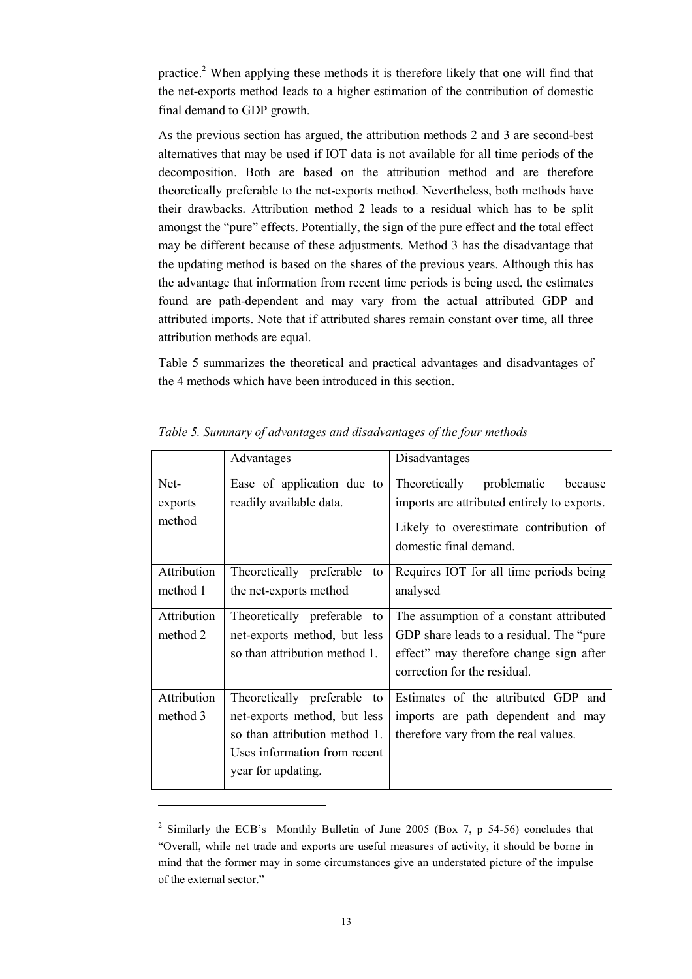practice.2 When applying these methods it is therefore likely that one will find that the net-exports method leads to a higher estimation of the contribution of domestic final demand to GDP growth.

As the previous section has argued, the attribution methods 2 and 3 are second-best alternatives that may be used if IOT data is not available for all time periods of the decomposition. Both are based on the attribution method and are therefore theoretically preferable to the net-exports method. Nevertheless, both methods have their drawbacks. Attribution method 2 leads to a residual which has to be split amongst the "pure" effects. Potentially, the sign of the pure effect and the total effect may be different because of these adjustments. Method 3 has the disadvantage that the updating method is based on the shares of the previous years. Although this has the advantage that information from recent time periods is being used, the estimates found are path-dependent and may vary from the actual attributed GDP and attributed imports. Note that if attributed shares remain constant over time, all three attribution methods are equal.

Table 5 summarizes the theoretical and practical advantages and disadvantages of the 4 methods which have been introduced in this section.

|                           | Advantages                                                                                                                                         | Disadvantages                                                                                                                                                   |
|---------------------------|----------------------------------------------------------------------------------------------------------------------------------------------------|-----------------------------------------------------------------------------------------------------------------------------------------------------------------|
| Net-<br>exports<br>method | Ease of application due to<br>readily available data.                                                                                              | Theoretically<br>problematic<br>because<br>imports are attributed entirely to exports.<br>Likely to overestimate contribution of<br>domestic final demand.      |
| Attribution<br>method 1   | Theoretically preferable<br>to<br>the net-exports method                                                                                           | Requires IOT for all time periods being<br>analysed                                                                                                             |
| Attribution<br>method 2   | Theoretically preferable to<br>net-exports method, but less<br>so than attribution method 1.                                                       | The assumption of a constant attributed<br>GDP share leads to a residual. The "pure"<br>effect" may therefore change sign after<br>correction for the residual. |
| Attribution<br>method 3   | Theoretically preferable to<br>net-exports method, but less<br>so than attribution method 1.<br>Uses information from recent<br>year for updating. | Estimates of the attributed GDP and<br>imports are path dependent and may<br>therefore vary from the real values.                                               |

*Table 5. Summary of advantages and disadvantages of the four methods* 

<sup>2</sup> Similarly the ECB's Monthly Bulletin of June 2005 (Box 7, p 54-56) concludes that "Overall, while net trade and exports are useful measures of activity, it should be borne in mind that the former may in some circumstances give an understated picture of the impulse of the external sector."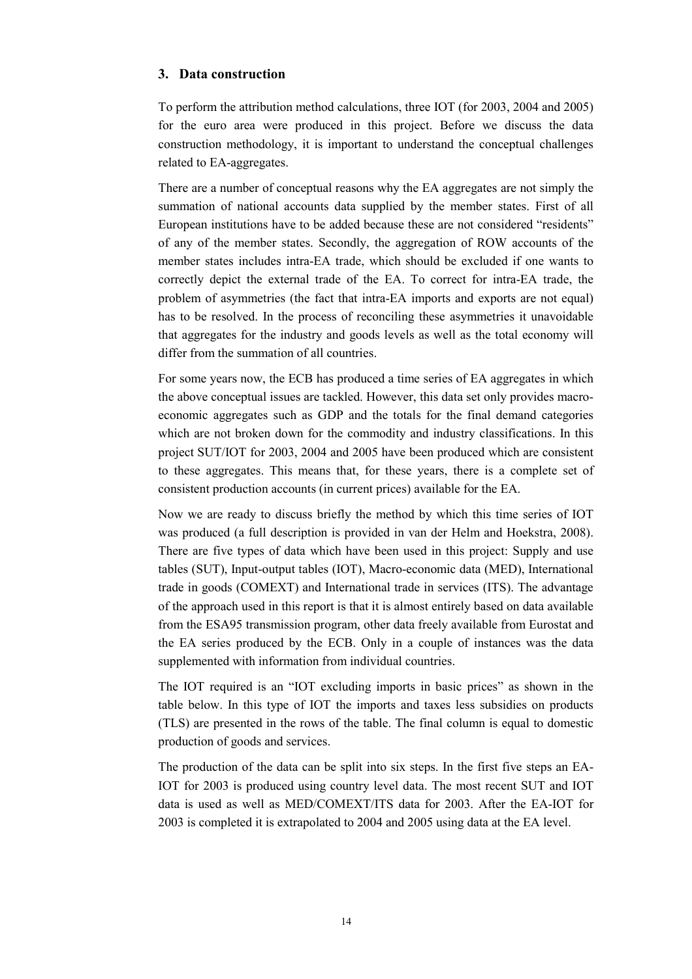#### **3. Data construction**

To perform the attribution method calculations, three IOT (for 2003, 2004 and 2005) for the euro area were produced in this project. Before we discuss the data construction methodology, it is important to understand the conceptual challenges related to EA-aggregates.

There are a number of conceptual reasons why the EA aggregates are not simply the summation of national accounts data supplied by the member states. First of all European institutions have to be added because these are not considered "residents" of any of the member states. Secondly, the aggregation of ROW accounts of the member states includes intra-EA trade, which should be excluded if one wants to correctly depict the external trade of the EA. To correct for intra-EA trade, the problem of asymmetries (the fact that intra-EA imports and exports are not equal) has to be resolved. In the process of reconciling these asymmetries it unavoidable that aggregates for the industry and goods levels as well as the total economy will differ from the summation of all countries.

For some years now, the ECB has produced a time series of EA aggregates in which the above conceptual issues are tackled. However, this data set only provides macroeconomic aggregates such as GDP and the totals for the final demand categories which are not broken down for the commodity and industry classifications. In this project SUT/IOT for 2003, 2004 and 2005 have been produced which are consistent to these aggregates. This means that, for these years, there is a complete set of consistent production accounts (in current prices) available for the EA.

Now we are ready to discuss briefly the method by which this time series of IOT was produced (a full description is provided in van der Helm and Hoekstra, 2008). There are five types of data which have been used in this project: Supply and use tables (SUT), Input-output tables (IOT), Macro-economic data (MED), International trade in goods (COMEXT) and International trade in services (ITS). The advantage of the approach used in this report is that it is almost entirely based on data available from the ESA95 transmission program, other data freely available from Eurostat and the EA series produced by the ECB. Only in a couple of instances was the data supplemented with information from individual countries.

The IOT required is an "IOT excluding imports in basic prices" as shown in the table below. In this type of IOT the imports and taxes less subsidies on products (TLS) are presented in the rows of the table. The final column is equal to domestic production of goods and services.

The production of the data can be split into six steps. In the first five steps an EA-IOT for 2003 is produced using country level data. The most recent SUT and IOT data is used as well as MED/COMEXT/ITS data for 2003. After the EA-IOT for 2003 is completed it is extrapolated to 2004 and 2005 using data at the EA level.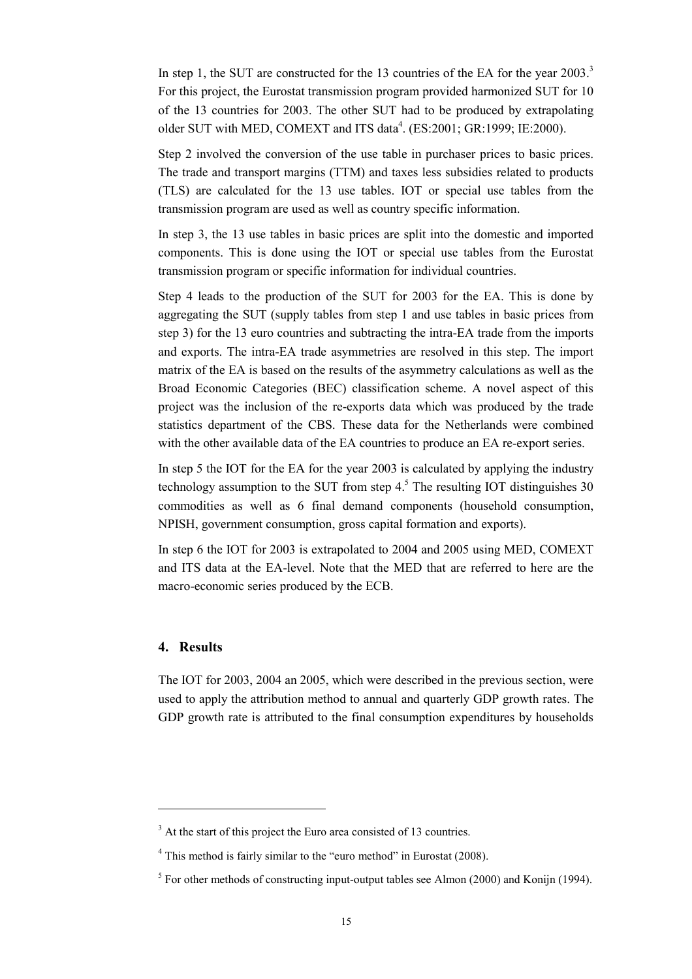In step 1, the SUT are constructed for the 13 countries of the EA for the year  $2003$ .<sup>3</sup> For this project, the Eurostat transmission program provided harmonized SUT for 10 of the 13 countries for 2003. The other SUT had to be produced by extrapolating older SUT with MED, COMEXT and ITS data<sup>4</sup>. (ES:2001; GR:1999; IE:2000).

Step 2 involved the conversion of the use table in purchaser prices to basic prices. The trade and transport margins (TTM) and taxes less subsidies related to products (TLS) are calculated for the 13 use tables. IOT or special use tables from the transmission program are used as well as country specific information.

In step 3, the 13 use tables in basic prices are split into the domestic and imported components. This is done using the IOT or special use tables from the Eurostat transmission program or specific information for individual countries.

Step 4 leads to the production of the SUT for 2003 for the EA. This is done by aggregating the SUT (supply tables from step 1 and use tables in basic prices from step 3) for the 13 euro countries and subtracting the intra-EA trade from the imports and exports. The intra-EA trade asymmetries are resolved in this step. The import matrix of the EA is based on the results of the asymmetry calculations as well as the Broad Economic Categories (BEC) classification scheme. A novel aspect of this project was the inclusion of the re-exports data which was produced by the trade statistics department of the CBS. These data for the Netherlands were combined with the other available data of the EA countries to produce an EA re-export series.

In step 5 the IOT for the EA for the year 2003 is calculated by applying the industry technology assumption to the SUT from step  $4<sup>5</sup>$ . The resulting IOT distinguishes 30 commodities as well as 6 final demand components (household consumption, NPISH, government consumption, gross capital formation and exports).

In step 6 the IOT for 2003 is extrapolated to 2004 and 2005 using MED, COMEXT and ITS data at the EA-level. Note that the MED that are referred to here are the macro-economic series produced by the ECB.

#### **4. Results**

The IOT for 2003, 2004 an 2005, which were described in the previous section, were used to apply the attribution method to annual and quarterly GDP growth rates. The GDP growth rate is attributed to the final consumption expenditures by households

<sup>&</sup>lt;sup>3</sup> At the start of this project the Euro area consisted of 13 countries.

<sup>&</sup>lt;sup>4</sup> This method is fairly similar to the "euro method" in Eurostat (2008).

 $5$  For other methods of constructing input-output tables see Almon (2000) and Konijn (1994).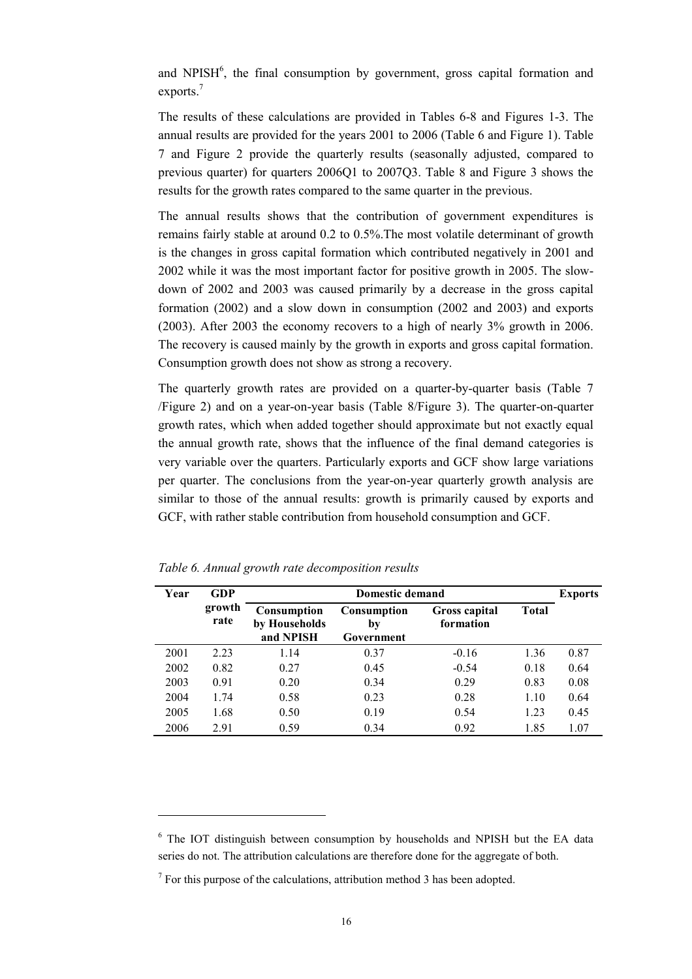and NPISH $<sup>6</sup>$ , the final consumption by government, gross capital formation and</sup> exports.<sup>7</sup>

The results of these calculations are provided in Tables 6-8 and Figures 1-3. The annual results are provided for the years 2001 to 2006 (Table 6 and Figure 1). Table 7 and Figure 2 provide the quarterly results (seasonally adjusted, compared to previous quarter) for quarters 2006Q1 to 2007Q3. Table 8 and Figure 3 shows the results for the growth rates compared to the same quarter in the previous.

The annual results shows that the contribution of government expenditures is remains fairly stable at around 0.2 to 0.5%.The most volatile determinant of growth is the changes in gross capital formation which contributed negatively in 2001 and 2002 while it was the most important factor for positive growth in 2005. The slowdown of 2002 and 2003 was caused primarily by a decrease in the gross capital formation (2002) and a slow down in consumption (2002 and 2003) and exports (2003). After 2003 the economy recovers to a high of nearly 3% growth in 2006. The recovery is caused mainly by the growth in exports and gross capital formation. Consumption growth does not show as strong a recovery.

The quarterly growth rates are provided on a quarter-by-quarter basis (Table 7 /Figure 2) and on a year-on-year basis (Table 8/Figure 3). The quarter-on-quarter growth rates, which when added together should approximate but not exactly equal the annual growth rate, shows that the influence of the final demand categories is very variable over the quarters. Particularly exports and GCF show large variations per quarter. The conclusions from the year-on-year quarterly growth analysis are similar to those of the annual results: growth is primarily caused by exports and GCF, with rather stable contribution from household consumption and GCF.

| Year | GDP            | <b>Domestic demand</b>                    |                                        |                            |              | <b>Exports</b> |
|------|----------------|-------------------------------------------|----------------------------------------|----------------------------|--------------|----------------|
|      | growth<br>rate | Consumption<br>by Households<br>and NPISH | <b>Consumption</b><br>by<br>Government | Gross capital<br>formation | <b>Total</b> |                |
| 2001 | 2.23           | 1.14                                      | 0.37                                   | $-0.16$                    | 1.36         | 0.87           |
| 2002 | 0.82           | 0.27                                      | 0.45                                   | $-0.54$                    | 0.18         | 0.64           |
| 2003 | 0.91           | 0.20                                      | 0.34                                   | 0.29                       | 0.83         | 0.08           |
| 2004 | 1.74           | 0.58                                      | 0.23                                   | 0.28                       | 1.10         | 0.64           |
| 2005 | 1.68           | 0.50                                      | 0.19                                   | 0.54                       | 1.23         | 0.45           |
| 2006 | 2.91           | 0.59                                      | 0.34                                   | 0.92                       | 1.85         | 1.07           |

*Table 6. Annual growth rate decomposition results* 

<sup>6</sup> The IOT distinguish between consumption by households and NPISH but the EA data series do not. The attribution calculations are therefore done for the aggregate of both.

 $<sup>7</sup>$  For this purpose of the calculations, attribution method 3 has been adopted.</sup>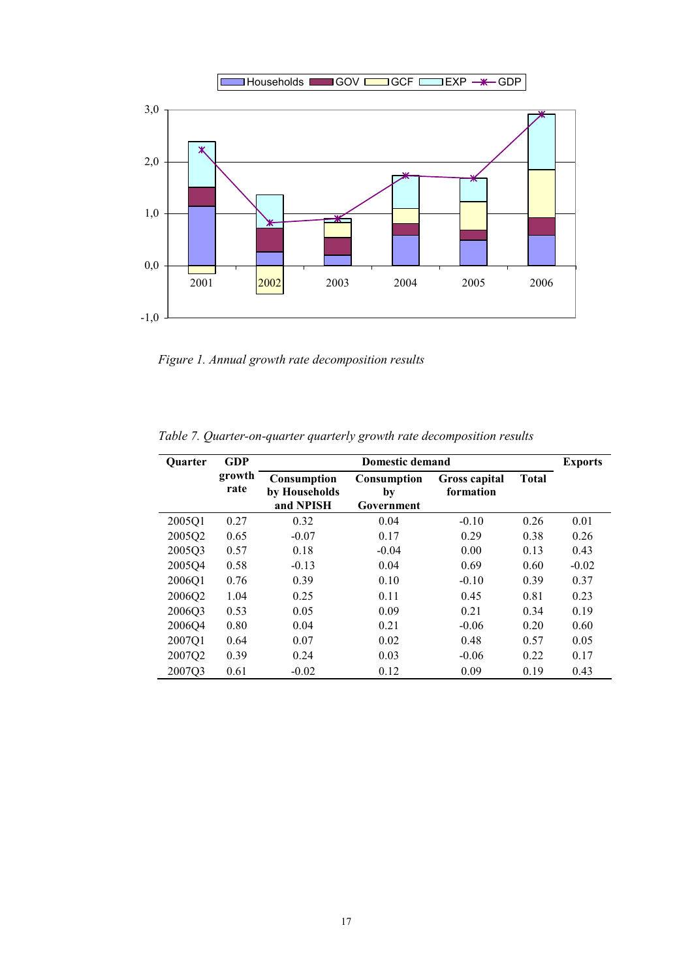

*Figure 1. Annual growth rate decomposition results* 

*Table 7. Quarter-on-quarter quarterly growth rate decomposition results* 

| <b>Ouarter</b> | <b>GDP</b>     | <b>Domestic demand</b>                    |                                 |                            |              | <b>Exports</b> |
|----------------|----------------|-------------------------------------------|---------------------------------|----------------------------|--------------|----------------|
|                | growth<br>rate | Consumption<br>by Households<br>and NPISH | Consumption<br>by<br>Government | Gross capital<br>formation | <b>Total</b> |                |
| 2005Q1         | 0.27           | 0.32                                      | 0.04                            | $-0.10$                    | 0.26         | 0.01           |
| 2005Q2         | 0.65           | $-0.07$                                   | 0.17                            | 0.29                       | 0.38         | 0.26           |
| 2005Q3         | 0.57           | 0.18                                      | $-0.04$                         | 0.00                       | 0.13         | 0.43           |
| 2005Q4         | 0.58           | $-0.13$                                   | 0.04                            | 0.69                       | 0.60         | $-0.02$        |
| 2006Q1         | 0.76           | 0.39                                      | 0.10                            | $-0.10$                    | 0.39         | 0.37           |
| 2006Q2         | 1.04           | 0.25                                      | 0.11                            | 0.45                       | 0.81         | 0.23           |
| 2006Q3         | 0.53           | 0.05                                      | 0.09                            | 0.21                       | 0.34         | 0.19           |
| 2006Q4         | 0.80           | 0.04                                      | 0.21                            | $-0.06$                    | 0.20         | 0.60           |
| 2007Q1         | 0.64           | 0.07                                      | 0.02                            | 0.48                       | 0.57         | 0.05           |
| 2007Q2         | 0.39           | 0.24                                      | 0.03                            | $-0.06$                    | 0.22         | 0.17           |
| 2007Q3         | 0.61           | $-0.02$                                   | 0.12                            | 0.09                       | 0.19         | 0.43           |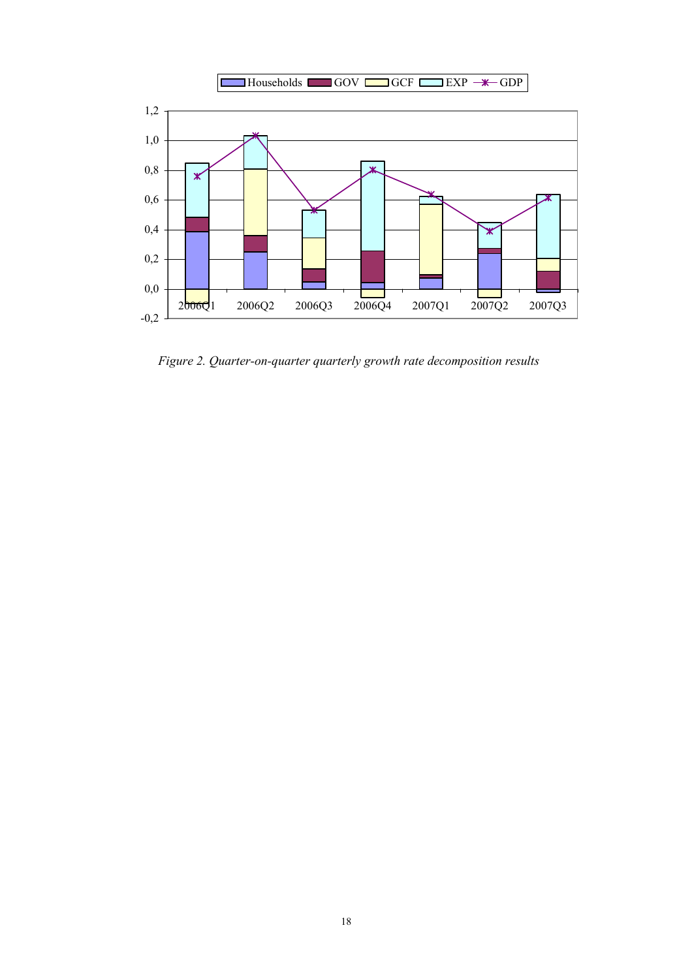

*Figure 2. Quarter-on-quarter quarterly growth rate decomposition results*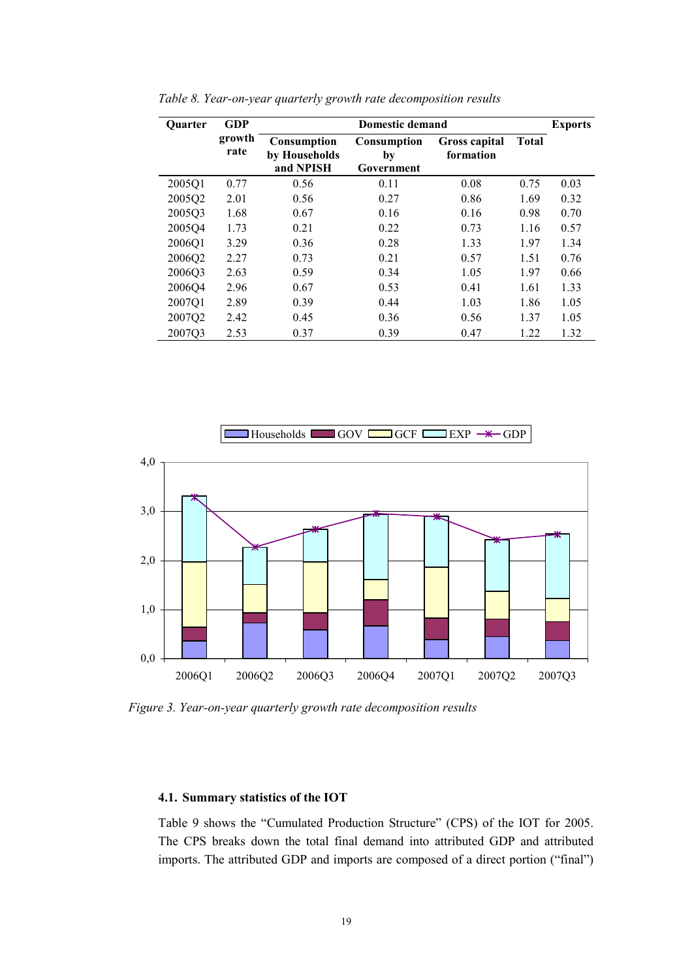| <b>Quarter</b> | <b>GDP</b>     | <b>Domestic demand</b>                           |                                 |                            |              |      |
|----------------|----------------|--------------------------------------------------|---------------------------------|----------------------------|--------------|------|
|                | growth<br>rate | <b>Consumption</b><br>by Households<br>and NPISH | Consumption<br>by<br>Government | Gross capital<br>formation | <b>Total</b> |      |
| 2005Q1         | 0.77           | 0.56                                             | 0.11                            | 0.08                       | 0.75         | 0.03 |
| 2005Q2         | 2.01           | 0.56                                             | 0.27                            | 0.86                       | 1.69         | 0.32 |
| 2005Q3         | 1.68           | 0.67                                             | 0.16                            | 0.16                       | 0.98         | 0.70 |
| 2005Q4         | 1.73           | 0.21                                             | 0.22                            | 0.73                       | 1.16         | 0.57 |
| 2006Q1         | 3.29           | 0.36                                             | 0.28                            | 1.33                       | 1.97         | 1.34 |
| 2006Q2         | 2.27           | 0.73                                             | 0.21                            | 0.57                       | 1.51         | 0.76 |
| 2006Q3         | 2.63           | 0.59                                             | 0.34                            | 1.05                       | 1.97         | 0.66 |
| 2006Q4         | 2.96           | 0.67                                             | 0.53                            | 0.41                       | 1.61         | 1.33 |
| 2007Q1         | 2.89           | 0.39                                             | 0.44                            | 1.03                       | 1.86         | 1.05 |
| 2007Q2         | 2.42           | 0.45                                             | 0.36                            | 0.56                       | 1.37         | 1.05 |
| 2007Q3         | 2.53           | 0.37                                             | 0.39                            | 0.47                       | 1.22         | 1.32 |

*Table 8. Year-on-year quarterly growth rate decomposition results* 



*Figure 3. Year-on-year quarterly growth rate decomposition results* 

#### **4.1. Summary statistics of the IOT**

Table 9 shows the "Cumulated Production Structure" (CPS) of the IOT for 2005. The CPS breaks down the total final demand into attributed GDP and attributed imports. The attributed GDP and imports are composed of a direct portion ("final")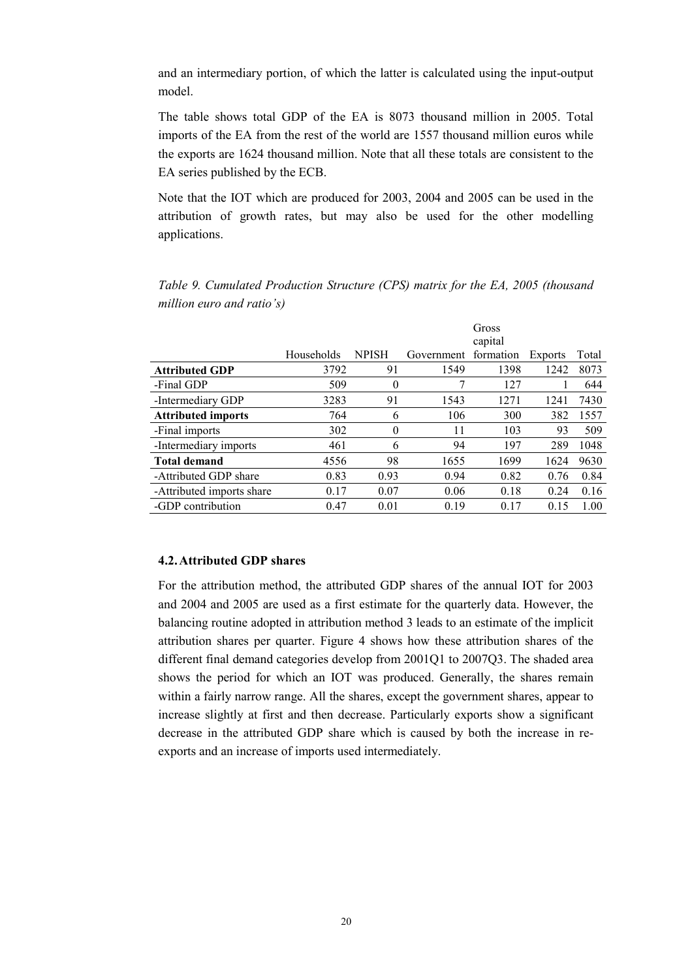and an intermediary portion, of which the latter is calculated using the input-output model.

The table shows total GDP of the EA is 8073 thousand million in 2005. Total imports of the EA from the rest of the world are 1557 thousand million euros while the exports are 1624 thousand million. Note that all these totals are consistent to the EA series published by the ECB.

Note that the IOT which are produced for 2003, 2004 and 2005 can be used in the attribution of growth rates, but may also be used for the other modelling applications.

|                           |            |                |            | Gross<br>capital |                |       |
|---------------------------|------------|----------------|------------|------------------|----------------|-------|
|                           | Households | <b>NPISH</b>   | Government | formation        | <b>Exports</b> | Total |
| <b>Attributed GDP</b>     | 3792       | 91             | 1549       | 1398             | 1242           | 8073  |
| -Final GDP                | 509        | $\theta$       | 7          | 127              |                | 644   |
| -Intermediary GDP         | 3283       | 91             | 1543       | 1271             | 1241           | 7430  |
| <b>Attributed imports</b> | 764        | 6              | 106        | 300              | 382            | 1557  |
| -Final imports            | 302        | $\overline{0}$ | 11         | 103              | 93             | 509   |
| -Intermediary imports     | 461        | 6              | 94         | 197              | 289            | 1048  |
| <b>Total demand</b>       | 4556       | 98             | 1655       | 1699             | 1624           | 9630  |
| -Attributed GDP share     | 0.83       | 0.93           | 0.94       | 0.82             | 0.76           | 0.84  |
| -Attributed imports share | 0.17       | 0.07           | 0.06       | 0.18             | 0.24           | 0.16  |
| -GDP contribution         | 0.47       | 0.01           | 0.19       | 0.17             | 0.15           | 1.00  |

*Table 9. Cumulated Production Structure (CPS) matrix for the EA, 2005 (thousand million euro and ratio's)* 

#### **4.2.Attributed GDP shares**

For the attribution method, the attributed GDP shares of the annual IOT for 2003 and 2004 and 2005 are used as a first estimate for the quarterly data. However, the balancing routine adopted in attribution method 3 leads to an estimate of the implicit attribution shares per quarter. Figure 4 shows how these attribution shares of the different final demand categories develop from 2001Q1 to 2007Q3. The shaded area shows the period for which an IOT was produced. Generally, the shares remain within a fairly narrow range. All the shares, except the government shares, appear to increase slightly at first and then decrease. Particularly exports show a significant decrease in the attributed GDP share which is caused by both the increase in reexports and an increase of imports used intermediately.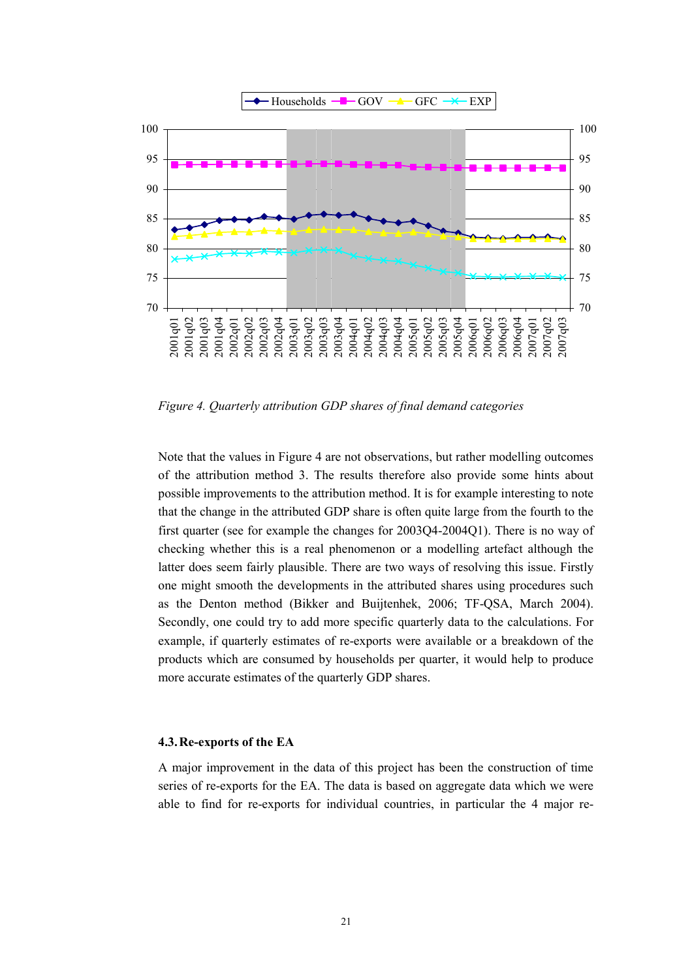

*Figure 4. Quarterly attribution GDP shares of final demand categories* 

Note that the values in Figure 4 are not observations, but rather modelling outcomes of the attribution method 3. The results therefore also provide some hints about possible improvements to the attribution method. It is for example interesting to note that the change in the attributed GDP share is often quite large from the fourth to the first quarter (see for example the changes for 2003Q4-2004Q1). There is no way of checking whether this is a real phenomenon or a modelling artefact although the latter does seem fairly plausible. There are two ways of resolving this issue. Firstly one might smooth the developments in the attributed shares using procedures such as the Denton method (Bikker and Buijtenhek, 2006; TF-QSA, March 2004). Secondly, one could try to add more specific quarterly data to the calculations. For example, if quarterly estimates of re-exports were available or a breakdown of the products which are consumed by households per quarter, it would help to produce more accurate estimates of the quarterly GDP shares.

#### **4.3.Re-exports of the EA**

A major improvement in the data of this project has been the construction of time series of re-exports for the EA. The data is based on aggregate data which we were able to find for re-exports for individual countries, in particular the 4 major re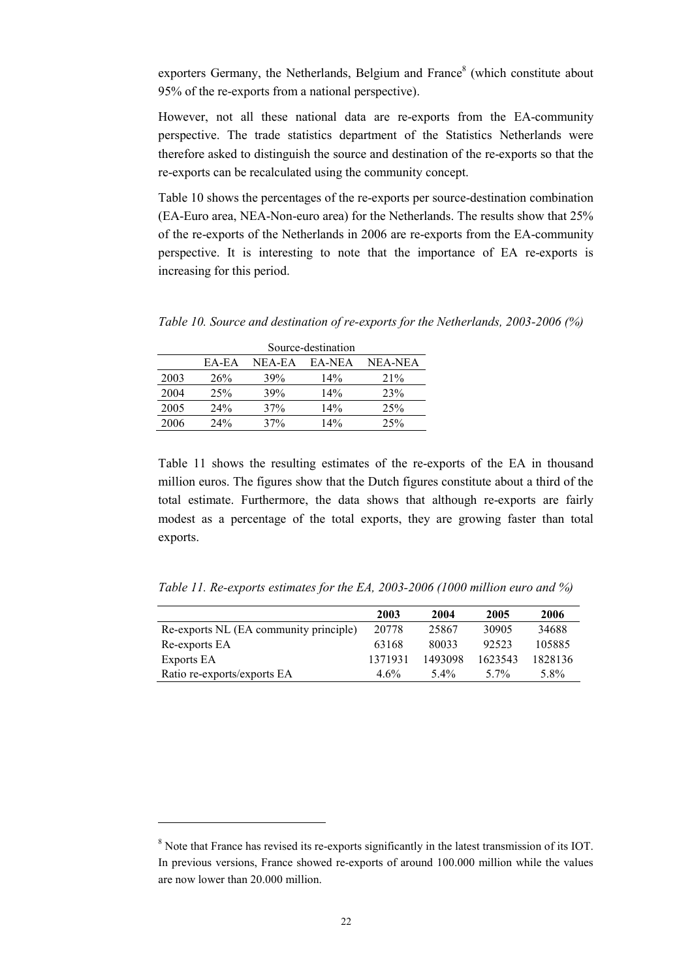exporters Germany, the Netherlands, Belgium and France<sup>8</sup> (which constitute about 95% of the re-exports from a national perspective).

However, not all these national data are re-exports from the EA-community perspective. The trade statistics department of the Statistics Netherlands were therefore asked to distinguish the source and destination of the re-exports so that the re-exports can be recalculated using the community concept.

Table 10 shows the percentages of the re-exports per source-destination combination (EA-Euro area, NEA-Non-euro area) for the Netherlands. The results show that 25% of the re-exports of the Netherlands in 2006 are re-exports from the EA-community perspective. It is interesting to note that the importance of EA re-exports is increasing for this period.

*Table 10. Source and destination of re-exports for the Netherlands, 2003-2006 (%)* 

|      | Source-destination |        |        |         |  |  |
|------|--------------------|--------|--------|---------|--|--|
|      | EA-EA              | NEA-EA | EA-NEA | NEA-NEA |  |  |
| 2003 | 26%                | 39%    | 14%    | 21%     |  |  |
| 2004 | 25%                | 39%    | 14%    | 23%     |  |  |
| 2005 | 24%                | 37%    | 14%    | 25%     |  |  |
| 2006 | 24%                | 37%    | 14%    | 25%     |  |  |

Table 11 shows the resulting estimates of the re-exports of the EA in thousand million euros. The figures show that the Dutch figures constitute about a third of the total estimate. Furthermore, the data shows that although re-exports are fairly modest as a percentage of the total exports, they are growing faster than total exports.

*Table 11. Re-exports estimates for the EA, 2003-2006 (1000 million euro and %)* 

|                                        | 2003    | 2004    | 2005    | 2006    |
|----------------------------------------|---------|---------|---------|---------|
| Re-exports NL (EA community principle) | 20778   | 25867   | 30905   | 34688   |
| Re-exports EA                          | 63168   | 80033   | 92523   | 105885  |
| Exports EA                             | 1371931 | 1493098 | 1623543 | 1828136 |
| Ratio re-exports/exports EA            | $4.6\%$ | $5.4\%$ | 5.7%    | 5.8%    |

<sup>&</sup>lt;sup>8</sup> Note that France has revised its re-exports significantly in the latest transmission of its IOT. In previous versions, France showed re-exports of around 100.000 million while the values are now lower than 20.000 million.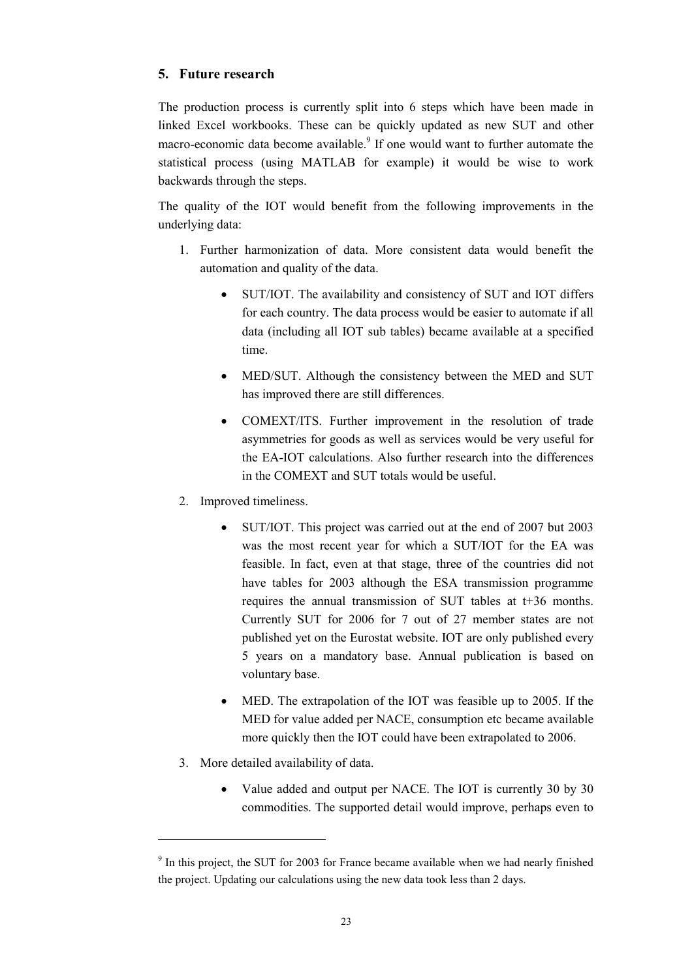### **5. Future research**

The production process is currently split into 6 steps which have been made in linked Excel workbooks. These can be quickly updated as new SUT and other macro-economic data become available.<sup>9</sup> If one would want to further automate the statistical process (using MATLAB for example) it would be wise to work backwards through the steps.

The quality of the IOT would benefit from the following improvements in the underlying data:

- 1. Further harmonization of data. More consistent data would benefit the automation and quality of the data.
	- SUT/IOT. The availability and consistency of SUT and IOT differs for each country. The data process would be easier to automate if all data (including all IOT sub tables) became available at a specified time.
	- MED/SUT. Although the consistency between the MED and SUT has improved there are still differences.
	- COMEXT/ITS. Further improvement in the resolution of trade asymmetries for goods as well as services would be very useful for the EA-IOT calculations. Also further research into the differences in the COMEXT and SUT totals would be useful.
- 2. Improved timeliness.
	- SUT/IOT. This project was carried out at the end of 2007 but 2003 was the most recent year for which a SUT/IOT for the EA was feasible. In fact, even at that stage, three of the countries did not have tables for 2003 although the ESA transmission programme requires the annual transmission of SUT tables at t+36 months. Currently SUT for 2006 for 7 out of 27 member states are not published yet on the Eurostat website. IOT are only published every 5 years on a mandatory base. Annual publication is based on voluntary base.
	- MED. The extrapolation of the IOT was feasible up to 2005. If the MED for value added per NACE, consumption etc became available more quickly then the IOT could have been extrapolated to 2006.
- 3. More detailed availability of data.
	- Value added and output per NACE. The IOT is currently 30 by 30 commodities. The supported detail would improve, perhaps even to

<sup>&</sup>lt;sup>9</sup> In this project, the SUT for 2003 for France became available when we had nearly finished the project. Updating our calculations using the new data took less than 2 days.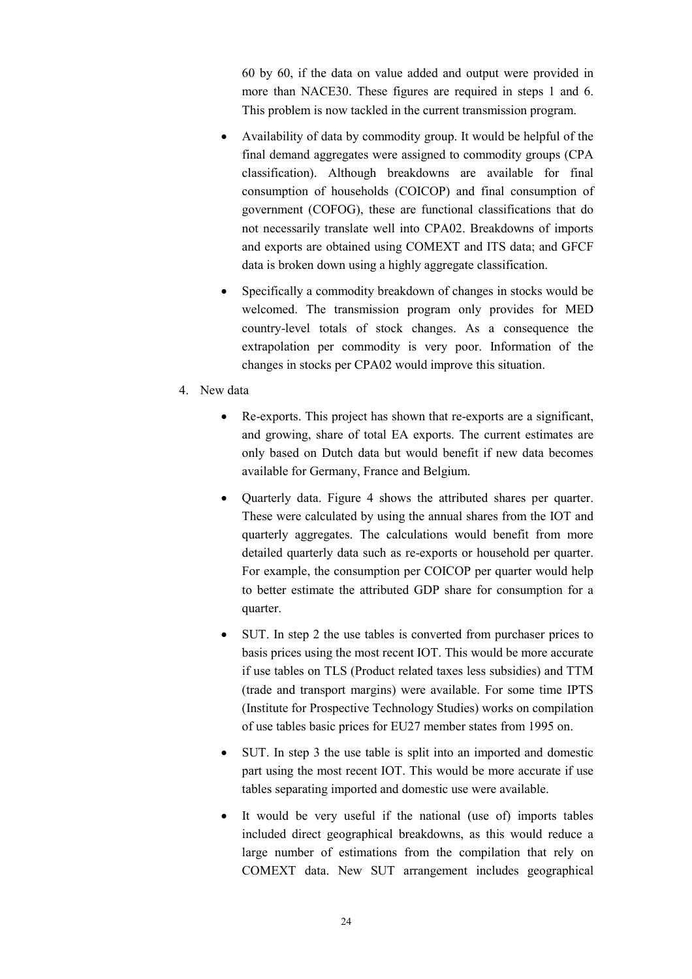60 by 60, if the data on value added and output were provided in more than NACE30. These figures are required in steps 1 and 6. This problem is now tackled in the current transmission program.

- Availability of data by commodity group. It would be helpful of the final demand aggregates were assigned to commodity groups (CPA classification). Although breakdowns are available for final consumption of households (COICOP) and final consumption of government (COFOG), these are functional classifications that do not necessarily translate well into CPA02. Breakdowns of imports and exports are obtained using COMEXT and ITS data; and GFCF data is broken down using a highly aggregate classification.
- Specifically a commodity breakdown of changes in stocks would be welcomed. The transmission program only provides for MED country-level totals of stock changes. As a consequence the extrapolation per commodity is very poor. Information of the changes in stocks per CPA02 would improve this situation.
- 4. New data
	- Re-exports. This project has shown that re-exports are a significant, and growing, share of total EA exports. The current estimates are only based on Dutch data but would benefit if new data becomes available for Germany, France and Belgium.
	- Quarterly data. Figure 4 shows the attributed shares per quarter. These were calculated by using the annual shares from the IOT and quarterly aggregates. The calculations would benefit from more detailed quarterly data such as re-exports or household per quarter. For example, the consumption per COICOP per quarter would help to better estimate the attributed GDP share for consumption for a quarter.
	- SUT. In step 2 the use tables is converted from purchaser prices to basis prices using the most recent IOT. This would be more accurate if use tables on TLS (Product related taxes less subsidies) and TTM (trade and transport margins) were available. For some time IPTS (Institute for Prospective Technology Studies) works on compilation of use tables basic prices for EU27 member states from 1995 on.
	- SUT. In step 3 the use table is split into an imported and domestic part using the most recent IOT. This would be more accurate if use tables separating imported and domestic use were available.
	- It would be very useful if the national (use of) imports tables included direct geographical breakdowns, as this would reduce a large number of estimations from the compilation that rely on COMEXT data. New SUT arrangement includes geographical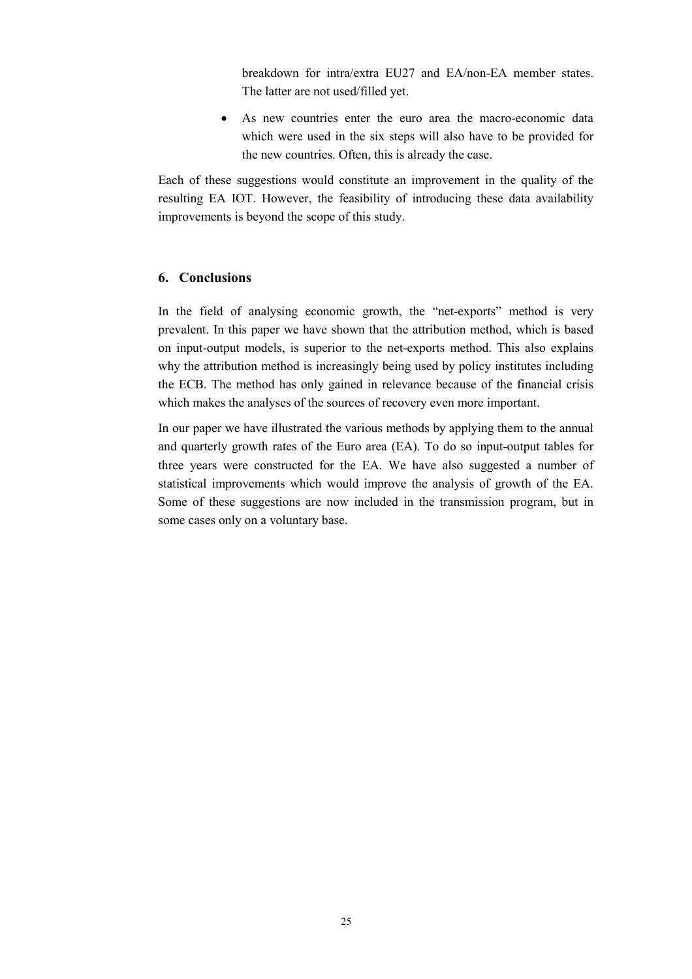breakdown for intra/extra EU27 and EA/non-EA member states. The latter are not used/filled yet.

• As new countries enter the euro area the macro-economic data which were used in the six steps will also have to be provided for the new countries. Often, this is already the case.

Each of these suggestions would constitute an improvement in the quality of the resulting EA IOT. However, the feasibility of introducing these data availability improvements is beyond the scope of this study.

#### **6. Conclusions**

In the field of analysing economic growth, the "net-exports" method is very prevalent. In this paper we have shown that the attribution method, which is based on input-output models, is superior to the net-exports method. This also explains why the attribution method is increasingly being used by policy institutes including the ECB. The method has only gained in relevance because of the financial crisis which makes the analyses of the sources of recovery even more important.

In our paper we have illustrated the various methods by applying them to the annual and quarterly growth rates of the Euro area (EA). To do so input-output tables for three years were constructed for the EA. We have also suggested a number of statistical improvements which would improve the analysis of growth of the EA. Some of these suggestions are now included in the transmission program, but in some cases only on a voluntary base.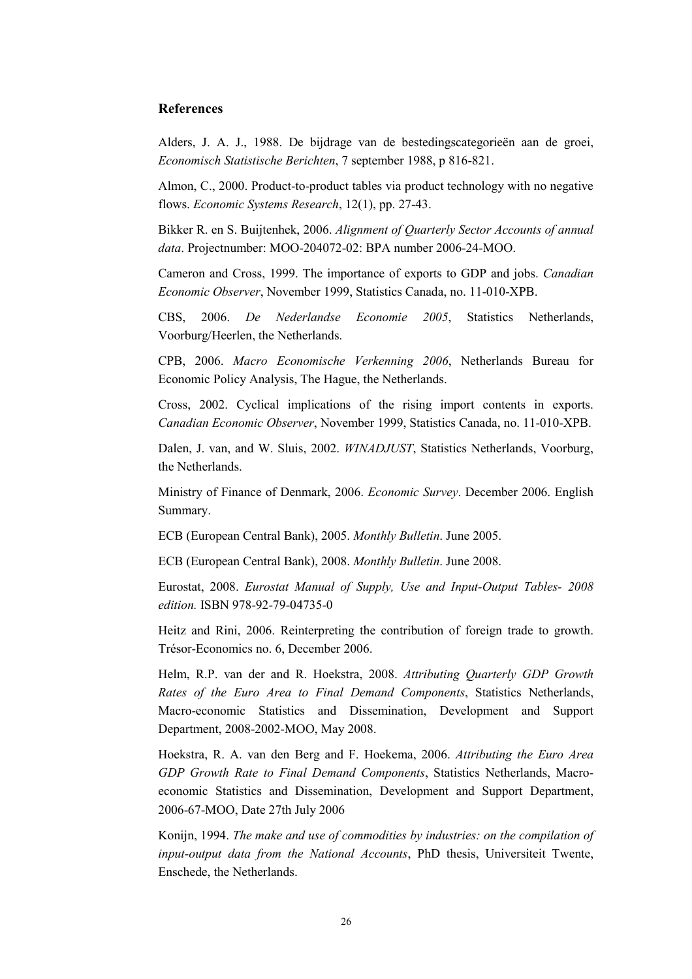#### **References**

Alders, J. A. J., 1988. De bijdrage van de bestedingscategorieën aan de groei, *Economisch Statistische Berichten*, 7 september 1988, p 816-821.

Almon, C., 2000. Product-to-product tables via product technology with no negative flows. *Economic Systems Research*, 12(1), pp. 27-43.

Bikker R. en S. Buijtenhek, 2006. *Alignment of Quarterly Sector Accounts of annual data*. Projectnumber: MOO-204072-02: BPA number 2006-24-MOO.

Cameron and Cross, 1999. The importance of exports to GDP and jobs. *Canadian Economic Observer*, November 1999, Statistics Canada, no. 11-010-XPB.

CBS, 2006. *De Nederlandse Economie 2005*, Statistics Netherlands, Voorburg/Heerlen, the Netherlands.

CPB, 2006. *Macro Economische Verkenning 2006*, Netherlands Bureau for Economic Policy Analysis, The Hague, the Netherlands.

Cross, 2002. Cyclical implications of the rising import contents in exports. *Canadian Economic Observer*, November 1999, Statistics Canada, no. 11-010-XPB.

Dalen, J. van, and W. Sluis, 2002. *WINADJUST*, Statistics Netherlands, Voorburg, the Netherlands.

Ministry of Finance of Denmark, 2006. *Economic Survey*. December 2006. English Summary.

ECB (European Central Bank), 2005. *Monthly Bulletin*. June 2005.

ECB (European Central Bank), 2008. *Monthly Bulletin*. June 2008.

Eurostat, 2008. *Eurostat Manual of Supply, Use and Input-Output Tables- 2008 edition.* ISBN 978-92-79-04735-0

Heitz and Rini, 2006. Reinterpreting the contribution of foreign trade to growth. Trésor-Economics no. 6, December 2006.

Helm, R.P. van der and R. Hoekstra, 2008. *Attributing Quarterly GDP Growth Rates of the Euro Area to Final Demand Components*, Statistics Netherlands, Macro-economic Statistics and Dissemination, Development and Support Department, 2008-2002-MOO, May 2008.

Hoekstra, R. A. van den Berg and F. Hoekema, 2006. *Attributing the Euro Area GDP Growth Rate to Final Demand Components*, Statistics Netherlands, Macroeconomic Statistics and Dissemination, Development and Support Department, 2006-67-MOO, Date 27th July 2006

Konijn, 1994. *The make and use of commodities by industries: on the compilation of input-output data from the National Accounts*, PhD thesis, Universiteit Twente, Enschede, the Netherlands.